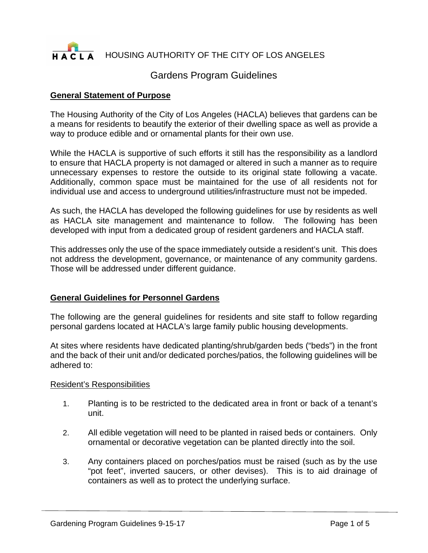

HOUSING AUTHORITY OF THE CITY OF LOS ANGELES

# Gardens Program Guidelines

## **General Statement of Purpose**

The Housing Authority of the City of Los Angeles (HACLA) believes that gardens can be a means for residents to beautify the exterior of their dwelling space as well as provide a way to produce edible and or ornamental plants for their own use.

While the HACLA is supportive of such efforts it still has the responsibility as a landlord to ensure that HACLA property is not damaged or altered in such a manner as to require unnecessary expenses to restore the outside to its original state following a vacate. Additionally, common space must be maintained for the use of all residents not for individual use and access to underground utilities/infrastructure must not be impeded.

As such, the HACLA has developed the following guidelines for use by residents as well as HACLA site management and maintenance to follow. The following has been developed with input from a dedicated group of resident gardeners and HACLA staff.

This addresses only the use of the space immediately outside a resident's unit. This does not address the development, governance, or maintenance of any community gardens. Those will be addressed under different guidance.

### **General Guidelines for Personnel Gardens**

The following are the general guidelines for residents and site staff to follow regarding personal gardens located at HACLA's large family public housing developments.

At sites where residents have dedicated planting/shrub/garden beds ("beds") in the front and the back of their unit and/or dedicated porches/patios, the following guidelines will be adhered to:

### Resident's Responsibilities

- 1. Planting is to be restricted to the dedicated area in front or back of a tenant's unit.
- 2. All edible vegetation will need to be planted in raised beds or containers. Only ornamental or decorative vegetation can be planted directly into the soil.
- 3. Any containers placed on porches/patios must be raised (such as by the use "pot feet", inverted saucers, or other devises). This is to aid drainage of containers as well as to protect the underlying surface.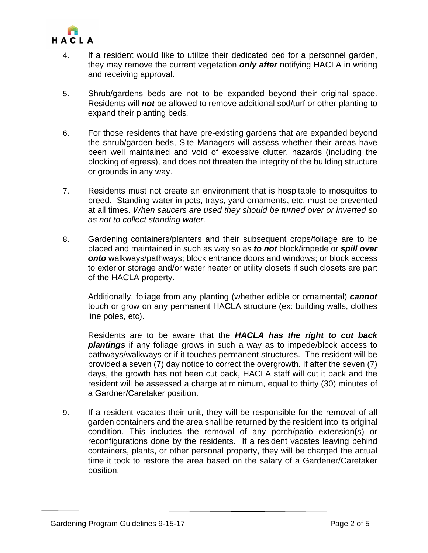

- 4. If a resident would like to utilize their dedicated bed for a personnel garden, they may remove the current vegetation *only after* notifying HACLA in writing and receiving approval.
- 5. Shrub/gardens beds are not to be expanded beyond their original space. Residents will *not* be allowed to remove additional sod/turf or other planting to expand their planting beds*.*
- 6. For those residents that have pre-existing gardens that are expanded beyond the shrub/garden beds, Site Managers will assess whether their areas have been well maintained and void of excessive clutter, hazards (including the blocking of egress), and does not threaten the integrity of the building structure or grounds in any way.
- 7. Residents must not create an environment that is hospitable to mosquitos to breed. Standing water in pots, trays, yard ornaments, etc. must be prevented at all times. *When saucers are used they should be turned over or inverted so as not to collect standing water.*
- 8. Gardening containers/planters and their subsequent crops/foliage are to be placed and maintained in such as way so as *to not* block/impede or *spill over onto* walkways/pathways; block entrance doors and windows; or block access to exterior storage and/or water heater or utility closets if such closets are part of the HACLA property.

Additionally, foliage from any planting (whether edible or ornamental) *cannot* touch or grow on any permanent HACLA structure (ex: building walls, clothes line poles, etc).

Residents are to be aware that the *HACLA has the right to cut back plantings* if any foliage grows in such a way as to impede/block access to pathways/walkways or if it touches permanent structures. The resident will be provided a seven (7) day notice to correct the overgrowth. If after the seven (7) days, the growth has not been cut back, HACLA staff will cut it back and the resident will be assessed a charge at minimum, equal to thirty (30) minutes of a Gardner/Caretaker position.

9. If a resident vacates their unit, they will be responsible for the removal of all garden containers and the area shall be returned by the resident into its original condition. This includes the removal of any porch/patio extension(s) or reconfigurations done by the residents. If a resident vacates leaving behind containers, plants, or other personal property, they will be charged the actual time it took to restore the area based on the salary of a Gardener/Caretaker position.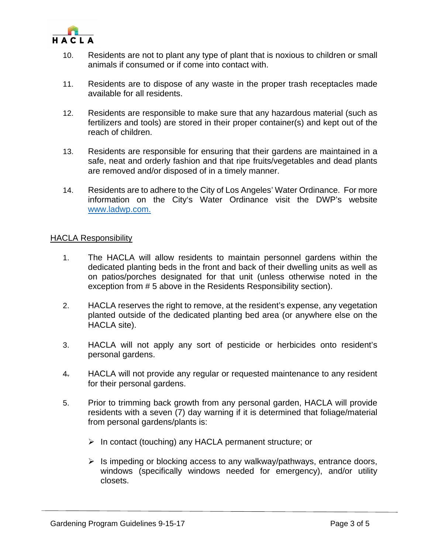

- 10. Residents are not to plant any type of plant that is noxious to children or small animals if consumed or if come into contact with.
- 11. Residents are to dispose of any waste in the proper trash receptacles made available for all residents.
- 12. Residents are responsible to make sure that any hazardous material (such as fertilizers and tools) are stored in their proper container(s) and kept out of the reach of children.
- 13. Residents are responsible for ensuring that their gardens are maintained in a safe, neat and orderly fashion and that ripe fruits/vegetables and dead plants are removed and/or disposed of in a timely manner.
- 14. Residents are to adhere to the City of Los Angeles' Water Ordinance. For more information on the City's Water Ordinance visit the DWP's website www.ladwp.com.

### HACLA Responsibility

- 1. The HACLA will allow residents to maintain personnel gardens within the dedicated planting beds in the front and back of their dwelling units as well as on patios/porches designated for that unit (unless otherwise noted in the exception from # 5 above in the Residents Responsibility section).
- 2. HACLA reserves the right to remove, at the resident's expense, any vegetation planted outside of the dedicated planting bed area (or anywhere else on the HACLA site).
- 3. HACLA will not apply any sort of pesticide or herbicides onto resident's personal gardens.
- 4. HACLA will not provide any regular or requested maintenance to any resident for their personal gardens.
- 5. Prior to trimming back growth from any personal garden, HACLA will provide residents with a seven (7) day warning if it is determined that foliage/material from personal gardens/plants is:
	- $\triangleright$  In contact (touching) any HACLA permanent structure; or
	- $\triangleright$  Is impeding or blocking access to any walkway/pathways, entrance doors, windows (specifically windows needed for emergency), and/or utility closets.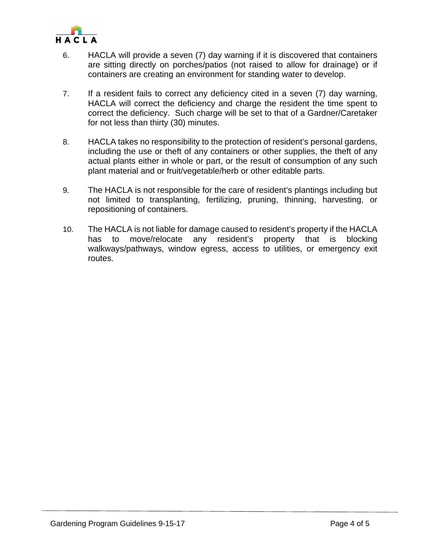

- 6. HACLA will provide a seven (7) day warning if it is discovered that containers are sitting directly on porches/patios (not raised to allow for drainage) or if containers are creating an environment for standing water to develop.
- 7. If a resident fails to correct any deficiency cited in a seven (7) day warning, HACLA will correct the deficiency and charge the resident the time spent to correct the deficiency. Such charge will be set to that of a Gardner/Caretaker for not less than thirty (30) minutes.
- 8. HACLA takes no responsibility to the protection of resident's personal gardens, including the use or theft of any containers or other supplies, the theft of any actual plants either in whole or part, or the result of consumption of any such plant material and or fruit/vegetable/herb or other editable parts.
- 9. The HACLA is not responsible for the care of resident's plantings including but not limited to transplanting, fertilizing, pruning, thinning, harvesting, or repositioning of containers.
- 10. The HACLA is not liable for damage caused to resident's property if the HACLA has to move/relocate any resident's property that is blocking walkways/pathways, window egress, access to utilities, or emergency exit routes.